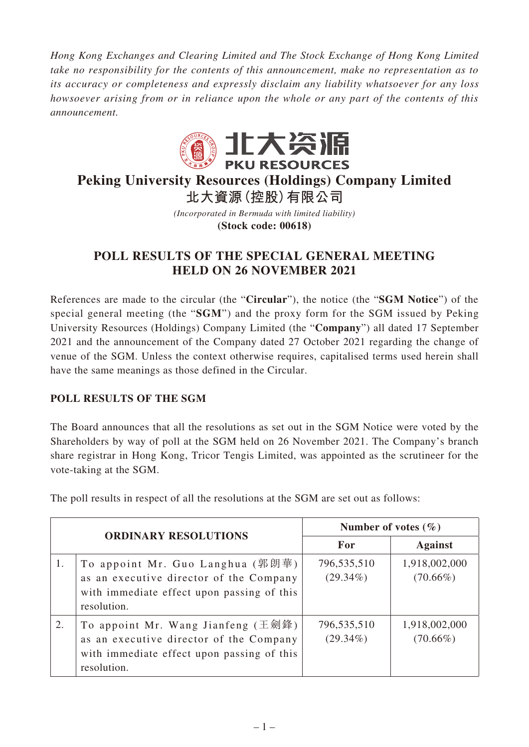*Hong Kong Exchanges and Clearing Limited and The Stock Exchange of Hong Kong Limited take no responsibility for the contents of this announcement, make no representation as to its accuracy or completeness and expressly disclaim any liability whatsoever for any loss howsoever arising from or in reliance upon the whole or any part of the contents of this announcement.*



# **Peking University Resources (Holdings) Company Limited 北大資源(控股)有限公司**

*(Incorporated in Bermuda with limited liability)* **(Stock code: 00618)**

## **POLL RESULTS OF THE SPECIAL GENERAL MEETING HELD ON 26 NOVEMBER 2021**

References are made to the circular (the "**Circular**"), the notice (the "**SGM Notice**") of the special general meeting (the "**SGM**") and the proxy form for the SGM issued by Peking University Resources (Holdings) Company Limited (the "**Company**") all dated 17 September 2021 and the announcement of the Company dated 27 October 2021 regarding the change of venue of the SGM. Unless the context otherwise requires, capitalised terms used herein shall have the same meanings as those defined in the Circular.

## **POLL RESULTS OF THE SGM**

The Board announces that all the resolutions as set out in the SGM Notice were voted by the Shareholders by way of poll at the SGM held on 26 November 2021. The Company's branch share registrar in Hong Kong, Tricor Tengis Limited, was appointed as the scrutineer for the vote-taking at the SGM.

The poll results in respect of all the resolutions at the SGM are set out as follows:

| <b>ORDINARY RESOLUTIONS</b> |                                                                                                                                            | Number of votes $(\% )$    |                              |
|-----------------------------|--------------------------------------------------------------------------------------------------------------------------------------------|----------------------------|------------------------------|
|                             |                                                                                                                                            | For                        | <b>Against</b>               |
| 1.                          | To appoint Mr. Guo Langhua (郭朗華)<br>as an executive director of the Company<br>with immediate effect upon passing of this<br>resolution.   | 796,535,510<br>$(29.34\%)$ | 1,918,002,000<br>$(70.66\%)$ |
| 2.                          | To appoint Mr. Wang Jianfeng (王劍鋒)<br>as an executive director of the Company<br>with immediate effect upon passing of this<br>resolution. | 796,535,510<br>$(29.34\%)$ | 1,918,002,000<br>$(70.66\%)$ |